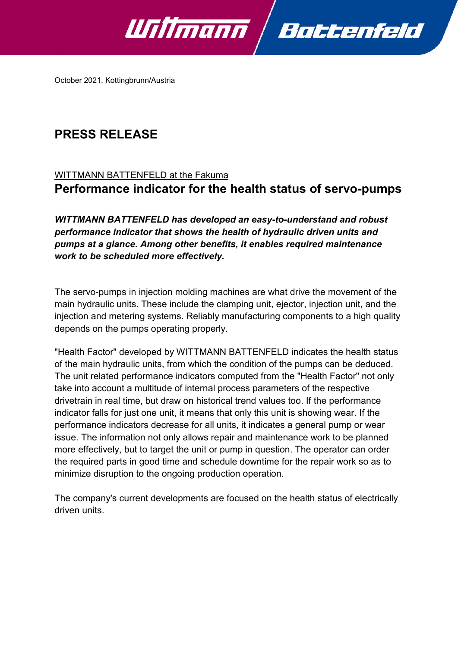

October 2021, Kottingbrunn/Austria

# **PRESS RELEASE**

## WITTMANN BATTENFELD at the Fakuma **Performance indicator for the health status of servo-pumps**

*WITTMANN BATTENFELD has developed an easy-to-understand and robust performance indicator that shows the health of hydraulic driven units and pumps at a glance. Among other benefits, it enables required maintenance work to be scheduled more effectively.*

The servo-pumps in injection molding machines are what drive the movement of the main hydraulic units. These include the clamping unit, ejector, injection unit, and the injection and metering systems. Reliably manufacturing components to a high quality depends on the pumps operating properly.

"Health Factor" developed by WITTMANN BATTENFELD indicates the health status of the main hydraulic units, from which the condition of the pumps can be deduced. The unit related performance indicators computed from the "Health Factor" not only take into account a multitude of internal process parameters of the respective drivetrain in real time, but draw on historical trend values too. If the performance indicator falls for just one unit, it means that only this unit is showing wear. If the performance indicators decrease for all units, it indicates a general pump or wear issue. The information not only allows repair and maintenance work to be planned more effectively, but to target the unit or pump in question. The operator can order the required parts in good time and schedule downtime for the repair work so as to minimize disruption to the ongoing production operation.

The company's current developments are focused on the health status of electrically driven units.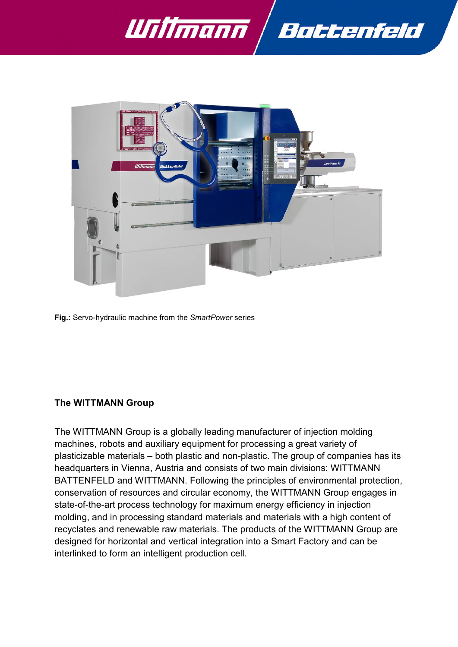



**Fig.:** Servo-hydraulic machine from the *SmartPower* series

#### **The WITTMANN Group**

The WITTMANN Group is a globally leading manufacturer of injection molding machines, robots and auxiliary equipment for processing a great variety of plasticizable materials – both plastic and non-plastic. The group of companies has its headquarters in Vienna, Austria and consists of two main divisions: WITTMANN BATTENFELD and WITTMANN. Following the principles of environmental protection, conservation of resources and circular economy, the WITTMANN Group engages in state-of-the-art process technology for maximum energy efficiency in injection molding, and in processing standard materials and materials with a high content of recyclates and renewable raw materials. The products of the WITTMANN Group are designed for horizontal and vertical integration into a Smart Factory and can be interlinked to form an intelligent production cell.